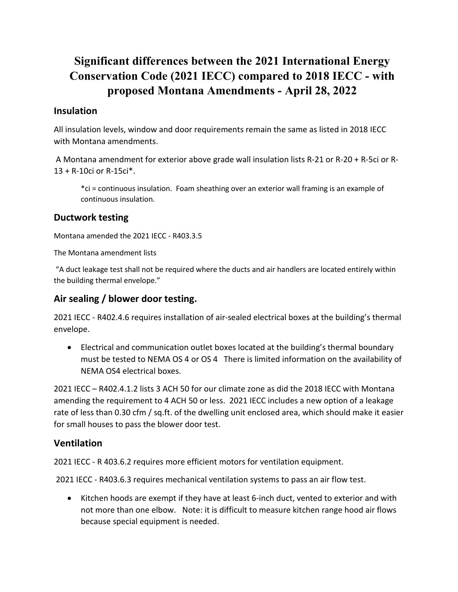# **Significant differences between the 2021 International Energy Conservation Code (2021 IECC) compared to 2018 IECC - with proposed Montana Amendments - April 28, 2022**

## **Insulation**

All insulation levels, window and door requirements remain the same as listed in 2018 IECC with Montana amendments.

A Montana amendment for exterior above grade wall insulation lists R-21 or R-20 + R-5ci or R-13 + R-10ci or R-15ci\*.

\*ci = continuous insulation. Foam sheathing over an exterior wall framing is an example of continuous insulation.

### **Ductwork testing**

Montana amended the 2021 IECC - R403.3.5

The Montana amendment lists

"A duct leakage test shall not be required where the ducts and air handlers are located entirely within the building thermal envelope."

## **Air sealing / blower door testing.**

2021 IECC - R402.4.6 requires installation of air-sealed electrical boxes at the building's thermal envelope.

• Electrical and communication outlet boxes located at the building's thermal boundary must be tested to NEMA OS 4 or OS 4 There is limited information on the availability of NEMA OS4 electrical boxes.

2021 IECC – R402.4.1.2 lists 3 ACH 50 for our climate zone as did the 2018 IECC with Montana amending the requirement to 4 ACH 50 or less. 2021 IECC includes a new option of a leakage rate of less than 0.30 cfm / sq.ft. of the dwelling unit enclosed area, which should make it easier for small houses to pass the blower door test.

#### **Ventilation**

2021 IECC - R 403.6.2 requires more efficient motors for ventilation equipment.

2021 IECC - R403.6.3 requires mechanical ventilation systems to pass an air flow test.

• Kitchen hoods are exempt if they have at least 6-inch duct, vented to exterior and with not more than one elbow. Note: it is difficult to measure kitchen range hood air flows because special equipment is needed.